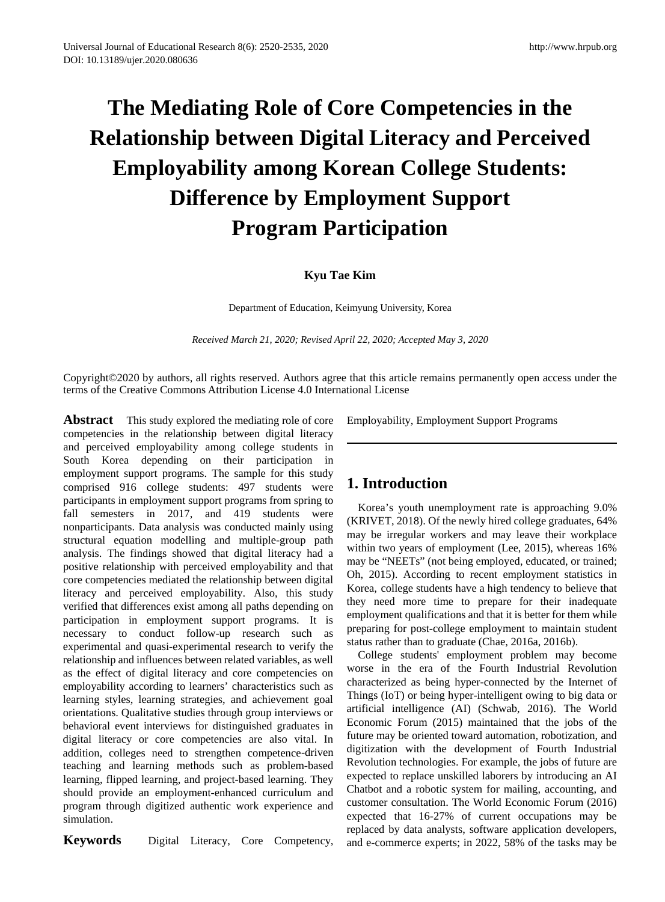# **The Mediating Role of Core Competencies in the Relationship between Digital Literacy and Perceived Employability among Korean College Students: Difference by Employment Support Program Participation**

## **Kyu Tae Kim**

Department of Education, Keimyung University, Korea

*Received March 21, 2020; Revised April 22, 2020; Accepted May 3, 2020*

Copyright©2020 by authors, all rights reserved. Authors agree that this article remains permanently open access under the terms of the Creative Commons Attribution License 4.0 International License

**Abstract** This study explored the mediating role of core competencies in the relationship between digital literacy and perceived employability among college students in South Korea depending on their participation in employment support programs. The sample for this study comprised 916 college students: 497 students were participants in employment support programs from spring to fall semesters in 2017, and 419 students were nonparticipants. Data analysis was conducted mainly using structural equation modelling and multiple-group path analysis. The findings showed that digital literacy had a positive relationship with perceived employability and that core competencies mediated the relationship between digital literacy and perceived employability. Also, this study verified that differences exist among all paths depending on participation in employment support programs. It is necessary to conduct follow-up research such as experimental and quasi-experimental research to verify the relationship and influences between related variables, as well as the effect of digital literacy and core competencies on employability according to learners' characteristics such as learning styles, learning strategies, and achievement goal orientations. Qualitative studies through group interviews or behavioral event interviews for distinguished graduates in digital literacy or core competencies are also vital. In addition, colleges need to strengthen competence-driven teaching and learning methods such as problem-based learning, flipped learning, and project-based learning. They should provide an employment-enhanced curriculum and program through digitized authentic work experience and simulation.

**Keywords** Digital Literacy, Core Competency,

Employability, Employment Support Programs

# **1. Introduction**

Korea's youth unemployment rate is approaching 9.0% (KRIVET, 2018). Of the newly hired college graduates, 64% may be irregular workers and may leave their workplace within two years of employment (Lee, 2015), whereas 16% may be "NEETs" (not being employed, educated, or trained; Oh, 2015). According to recent employment statistics in Korea, college students have a high tendency to believe that they need more time to prepare for their inadequate employment qualifications and that it is better for them while preparing for post-college employment to maintain student status rather than to graduate (Chae, 2016a, 2016b).

College students' employment problem may become worse in the era of the Fourth Industrial Revolution characterized as being hyper-connected by the Internet of Things (IoT) or being hyper-intelligent owing to big data or artificial intelligence (AI) (Schwab, 2016). The World Economic Forum (2015) maintained that the jobs of the future may be oriented toward automation, robotization, and digitization with the development of Fourth Industrial Revolution technologies. For example, the jobs of future are expected to replace unskilled laborers by introducing an AI Chatbot and a robotic system for mailing, accounting, and customer consultation. The World Economic Forum (2016) expected that 16-27% of current occupations may be replaced by data analysts, software application developers, and e-commerce experts; in 2022, 58% of the tasks may be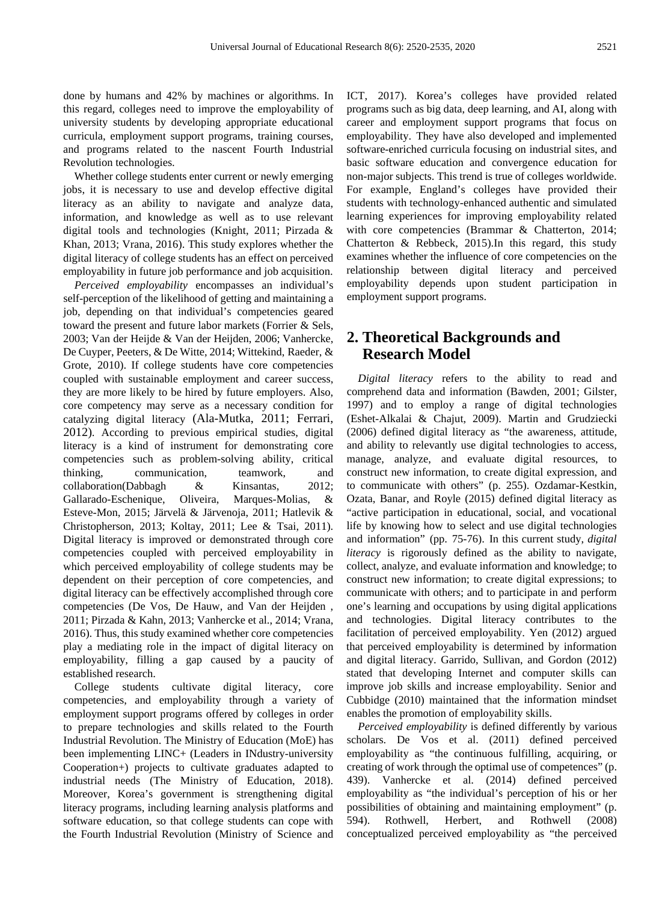done by humans and 42% by machines or algorithms. In this regard, colleges need to improve the employability of university students by developing appropriate educational curricula, employment support programs, training courses, and programs related to the nascent Fourth Industrial Revolution technologies.

Whether college students enter current or newly emerging jobs, it is necessary to use and develop effective digital literacy as an ability to navigate and analyze data, information, and knowledge as well as to use relevant digital tools and technologies (Knight, 2011; Pirzada & Khan, 2013; Vrana, 2016). This study explores whether the digital literacy of college students has an effect on perceived employability in future job performance and job acquisition.

*Perceived employability* encompasses an individual's self-perception of the likelihood of getting and maintaining a job, depending on that individual's competencies geared toward the present and future labor markets (Forrier & Sels, 2003; Van der Heijde & Van der Heijden, 2006; Vanhercke, De Cuyper, Peeters, & De Witte, 2014; Wittekind, Raeder, & Grote, 2010). If college students have core competencies coupled with sustainable employment and career success, they are more likely to be hired by future employers. Also, core competency may serve as a necessary condition for catalyzing digital literacy (Ala-Mutka, 2011; Ferrari, 2012). According to previous empirical studies, digital literacy is a kind of instrument for demonstrating core competencies such as problem-solving ability, critical thinking, communication, teamwork, and collaboration(Dabbagh & Kinsantas, 2012; Gallarado-Eschenique, Oliveira, Marques-Molias, & Esteve-Mon, 2015; Järvelä & Järvenoja, 2011; Hatlevik & Christopherson, 2013; Koltay, 2011; Lee & Tsai, 2011). Digital literacy is improved or demonstrated through core competencies coupled with perceived employability in which perceived employability of college students may be dependent on their perception of core competencies, and digital literacy can be effectively accomplished through core competencies (De Vos, De Hauw, and Van der Heijden , 2011; Pirzada & Kahn, 2013; Vanhercke et al., 2014; Vrana, 2016). Thus, this study examined whether core competencies play a mediating role in the impact of digital literacy on employability, filling a gap caused by a paucity of established research.

College students cultivate digital literacy, core competencies, and employability through a variety of employment support programs offered by colleges in order to prepare technologies and skills related to the Fourth Industrial Revolution. The Ministry of Education (MoE) has been implementing LINC+ (Leaders in INdustry-university Cooperation+) projects to cultivate graduates adapted to industrial needs (The Ministry of Education, 2018). Moreover, Korea's government is strengthening digital literacy programs, including learning analysis platforms and software education, so that college students can cope with the Fourth Industrial Revolution (Ministry of Science and

ICT, 2017). Korea's colleges have provided related programs such as big data, deep learning, and AI, along with career and employment support programs that focus on employability. They have also developed and implemented software-enriched curricula focusing on industrial sites, and basic software education and convergence education for non-major subjects. This trend is true of colleges worldwide. For example, England's colleges have provided their students with technology-enhanced authentic and simulated learning experiences for improving employability related with core competencies (Brammar & Chatterton, 2014; Chatterton & Rebbeck, 2015).In this regard, this study examines whether the influence of core competencies on the relationship between digital literacy and perceived employability depends upon student participation in employment support programs.

# **2. Theoretical Backgrounds and Research Model**

*Digital literacy* refers to the ability to read and comprehend data and information (Bawden, 2001; Gilster, 1997) and to employ a range of digital technologies (Eshet-Alkalai & Chajut, 2009). Martin and Grudziecki (2006) defined digital literacy as "the awareness, attitude, and ability to relevantly use digital technologies to access, manage, analyze, and evaluate digital resources, to construct new information, to create digital expression, and to communicate with others" (p. 255). Ozdamar-Kestkin, Ozata, Banar, and Royle (2015) defined digital literacy as "active participation in educational, social, and vocational life by knowing how to select and use digital technologies and information" (pp. 75-76). In this current study, *digital literacy* is rigorously defined as the ability to navigate, collect, analyze, and evaluate information and knowledge; to construct new information; to create digital expressions; to communicate with others; and to participate in and perform one's learning and occupations by using digital applications and technologies. Digital literacy contributes to the facilitation of perceived employability. Yen (2012) argued that perceived employability is determined by information and digital literacy. Garrido, Sullivan, and Gordon (2012) stated that developing Internet and computer skills can improve job skills and increase employability. Senior and Cubbidge (2010) maintained that the information mindset enables the promotion of employability skills.

*Perceived employability* is defined differently by various scholars. De Vos et al. (2011) defined perceived employability as "the continuous fulfilling, acquiring, or creating of work through the optimal use of competences" (p. 439). Vanhercke et al. (2014) defined perceived employability as "the individual's perception of his or her possibilities of obtaining and maintaining employment" (p. 594). Rothwell, Herbert, and Rothwell (2008) conceptualized perceived employability as "the perceived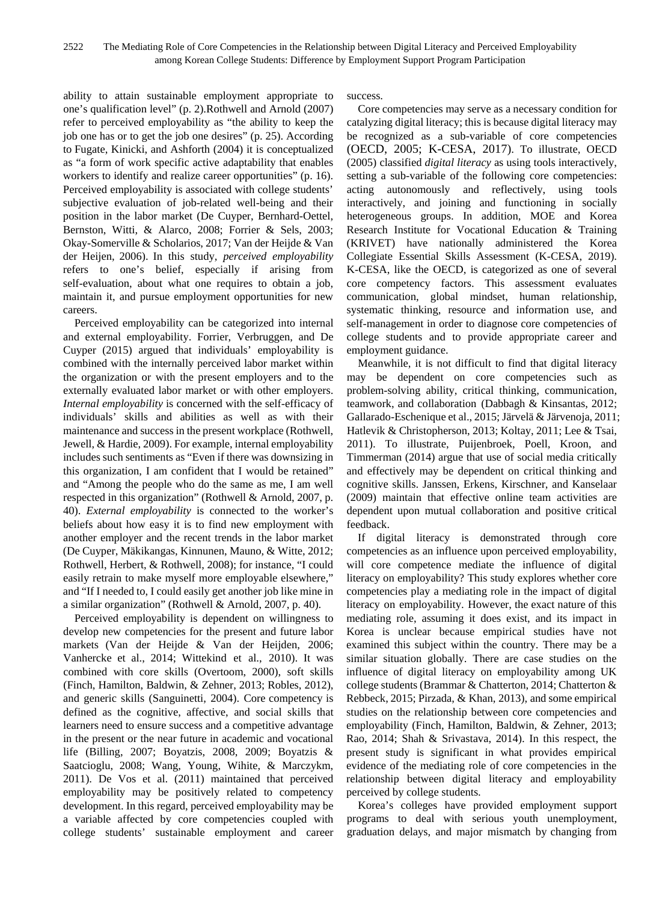ability to attain sustainable employment appropriate to one's qualification level" (p. 2).Rothwell and Arnold (2007) refer to perceived employability as "the ability to keep the job one has or to get the job one desires" (p. 25). According to Fugate, Kinicki, and Ashforth (2004) it is conceptualized as "a form of work specific active adaptability that enables workers to identify and realize career opportunities" (p. 16). Perceived employability is associated with college students' subjective evaluation of job-related well-being and their position in the labor market (De Cuyper, Bernhard-Oettel, Bernston, Witti, & Alarco, 2008; Forrier & Sels, 2003; Okay-Somerville & Scholarios, 2017; Van der Heijde & Van der Heijen, 2006). In this study, *perceived employability* refers to one's belief, especially if arising from self-evaluation, about what one requires to obtain a job, maintain it, and pursue employment opportunities for new careers.

Perceived employability can be categorized into internal and external employability. Forrier, Verbruggen, and De Cuyper (2015) argued that individuals' employability is combined with the internally perceived labor market within the organization or with the present employers and to the externally evaluated labor market or with other employers. *Internal employability* is concerned with the self-efficacy of individuals' skills and abilities as well as with their maintenance and success in the present workplace (Rothwell, Jewell, & Hardie, 2009). For example, internal employability includes such sentiments as "Even if there was downsizing in this organization, I am confident that I would be retained" and "Among the people who do the same as me, I am well respected in this organization" (Rothwell & Arnold, 2007, p. 40). *External employability* is connected to the worker's beliefs about how easy it is to find new employment with another employer and the recent trends in the labor market (De Cuyper, Mäkikangas, Kinnunen, Mauno, & Witte, 2012; Rothwell, Herbert, & Rothwell, 2008); for instance, "I could easily retrain to make myself more employable elsewhere," and "If I needed to, I could easily get another job like mine in a similar organization" (Rothwell & Arnold, 2007, p. 40).

Perceived employability is dependent on willingness to develop new competencies for the present and future labor markets (Van der Heijde & Van der Heijden, 2006; Vanhercke et al., 2014; Wittekind et al., 2010). It was combined with core skills (Overtoom, 2000), soft skills (Finch, Hamilton, Baldwin, & Zehner, 2013; Robles, 2012), and generic skills (Sanguinetti, 2004). Core competency is defined as the cognitive, affective, and social skills that learners need to ensure success and a competitive advantage in the present or the near future in academic and vocational life (Billing, 2007; Boyatzis, 2008, 2009; Boyatzis & Saatcioglu, 2008; Wang, Young, Wihite, & Marczykm, 2011). De Vos et al. (2011) maintained that perceived employability may be positively related to competency development. In this regard, perceived employability may be a variable affected by core competencies coupled with college students' sustainable employment and career

success.

Core competencies may serve as a necessary condition for catalyzing digital literacy; this is because digital literacy may be recognized as a sub-variable of core competencies (OECD, 2005; K-CESA, 2017). To illustrate, OECD (2005) classified *digital literacy* as using tools interactively, setting a sub-variable of the following core competencies: acting autonomously and reflectively, using tools interactively, and joining and functioning in socially heterogeneous groups. In addition, MOE and Korea Research Institute for Vocational Education & Training (KRIVET) have nationally administered the Korea Collegiate Essential Skills Assessment (K-CESA, 2019). K-CESA, like the OECD, is categorized as one of several core competency factors. This assessment evaluates communication, global mindset, human relationship, systematic thinking, resource and information use, and self-management in order to diagnose core competencies of college students and to provide appropriate career and employment guidance.

Meanwhile, it is not difficult to find that digital literacy may be dependent on core competencies such as problem-solving ability, critical thinking, communication, teamwork, and collaboration (Dabbagh & Kinsantas, 2012; Gallarado-Eschenique et al., 2015; Järvelä & Järvenoja, 2011; Hatlevik & Christopherson, 2013; Koltay, 2011; Lee & Tsai, 2011). To illustrate, Puijenbroek, Poell, Kroon, and Timmerman (2014) argue that use of social media critically and effectively may be dependent on critical thinking and cognitive skills. Janssen, Erkens, Kirschner, and Kanselaar (2009) maintain that effective online team activities are dependent upon mutual collaboration and positive critical feedback.

If digital literacy is demonstrated through core competencies as an influence upon perceived employability, will core competence mediate the influence of digital literacy on employability? This study explores whether core competencies play a mediating role in the impact of digital literacy on employability. However, the exact nature of this mediating role, assuming it does exist, and its impact in Korea is unclear because empirical studies have not examined this subject within the country. There may be a similar situation globally. There are case studies on the influence of digital literacy on employability among UK college students (Brammar & Chatterton, 2014; Chatterton & Rebbeck, 2015; Pirzada, & Khan, 2013), and some empirical studies on the relationship between core competencies and employability (Finch, Hamilton, Baldwin, & Zehner, 2013; Rao, 2014; Shah & Srivastava, 2014). In this respect, the present study is significant in what provides empirical evidence of the mediating role of core competencies in the relationship between digital literacy and employability perceived by college students.

Korea's colleges have provided employment support programs to deal with serious youth unemployment, graduation delays, and major mismatch by changing from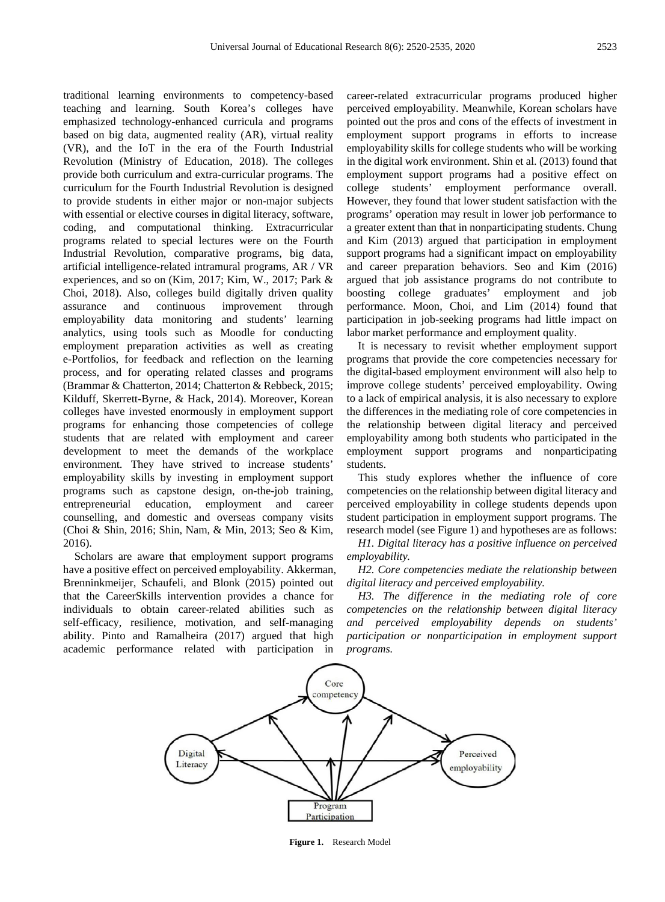traditional learning environments to competency-based teaching and learning. South Korea's colleges have emphasized technology-enhanced curricula and programs based on big data, augmented reality (AR), virtual reality (VR), and the IoT in the era of the Fourth Industrial Revolution (Ministry of Education, 2018). The colleges provide both curriculum and extra-curricular programs. The curriculum for the Fourth Industrial Revolution is designed to provide students in either major or non-major subjects with essential or elective courses in digital literacy, software, coding, and computational thinking. Extracurricular programs related to special lectures were on the Fourth Industrial Revolution, comparative programs, big data, artificial intelligence-related intramural programs, AR / VR experiences, and so on (Kim, 2017; Kim, W., 2017; Park & Choi, 2018). Also, colleges build digitally driven quality assurance and continuous improvement through employability data monitoring and students' learning analytics, using tools such as Moodle for conducting employment preparation activities as well as creating e-Portfolios, for feedback and reflection on the learning process, and for operating related classes and programs (Brammar & Chatterton, 2014; Chatterton & Rebbeck, 2015; Kilduff, Skerrett-Byrne, & Hack, 2014). Moreover, Korean colleges have invested enormously in employment support programs for enhancing those competencies of college students that are related with employment and career development to meet the demands of the workplace environment. They have strived to increase students' employability skills by investing in employment support programs such as capstone design, on-the-job training, entrepreneurial education, employment and career counselling, and domestic and overseas company visits (Choi & Shin, 2016; Shin, Nam, & Min, 2013; Seo & Kim, 2016).

Scholars are aware that employment support programs have a positive effect on perceived employability. Akkerman, Brenninkmeijer, Schaufeli, and Blonk (2015) pointed out that the CareerSkills intervention provides a chance for individuals to obtain career-related abilities such as self-efficacy, resilience, motivation, and self-managing ability. Pinto and Ramalheira (2017) argued that high academic performance related with participation in

career-related extracurricular programs produced higher perceived employability. Meanwhile, Korean scholars have pointed out the pros and cons of the effects of investment in employment support programs in efforts to increase employability skills for college students who will be working in the digital work environment. Shin et al. (2013) found that employment support programs had a positive effect on college students' employment performance overall. However, they found that lower student satisfaction with the programs' operation may result in lower job performance to a greater extent than that in nonparticipating students. Chung and Kim (2013) argued that participation in employment support programs had a significant impact on employability and career preparation behaviors. Seo and Kim (2016) argued that job assistance programs do not contribute to boosting college graduates' employment and job performance. Moon, Choi, and Lim (2014) found that participation in job-seeking programs had little impact on labor market performance and employment quality.

It is necessary to revisit whether employment support programs that provide the core competencies necessary for the digital-based employment environment will also help to improve college students' perceived employability. Owing to a lack of empirical analysis, it is also necessary to explore the differences in the mediating role of core competencies in the relationship between digital literacy and perceived employability among both students who participated in the employment support programs and nonparticipating students.

This study explores whether the influence of core competencies on the relationship between digital literacy and perceived employability in college students depends upon student participation in employment support programs. The research model (see Figure 1) and hypotheses are as follows:

*H1. Digital literacy has a positive influence on perceived employability.*

*H2. Core competencies mediate the relationship between digital literacy and perceived employability.*

*H3. The difference in the mediating role of core competencies on the relationship between digital literacy and perceived employability depends on students' participation or nonparticipation in employment support programs.*



**Figure 1.** Research Model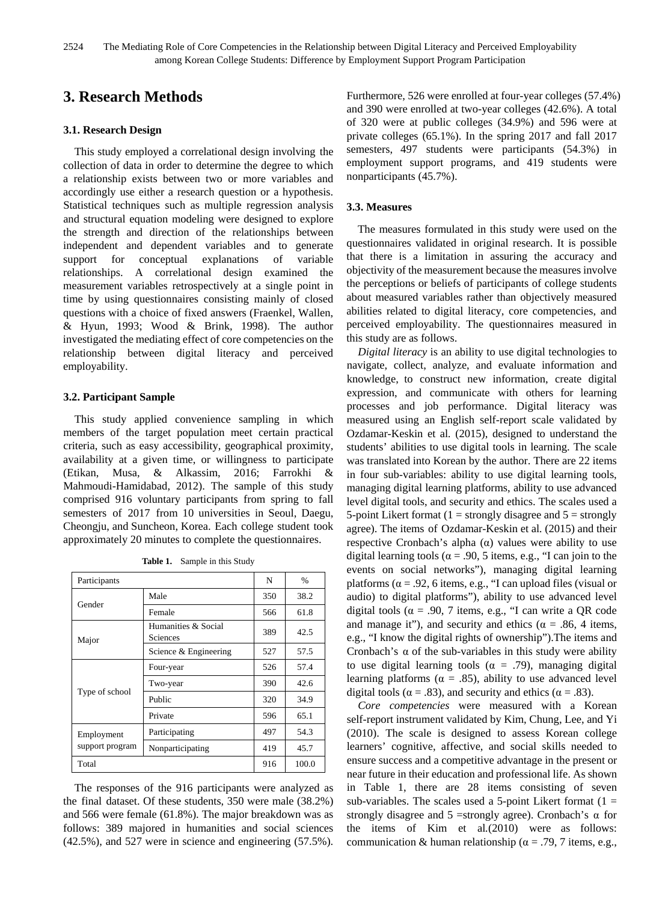# **3. Research Methods**

#### **3.1. Research Design**

This study employed a correlational design involving the collection of data in order to determine the degree to which a relationship exists between two or more variables and accordingly use either a research question or a hypothesis. Statistical techniques such as multiple regression analysis and structural equation modeling were designed to explore the strength and direction of the relationships between independent and dependent variables and to generate support for conceptual explanations of variable relationships. A correlational design examined the measurement variables retrospectively at a single point in time by using questionnaires consisting mainly of closed questions with a choice of fixed answers (Fraenkel, Wallen, & Hyun, 1993; Wood & Brink, 1998). The author investigated the mediating effect of core competencies on the relationship between digital literacy and perceived employability.

### **3.2. Participant Sample**

This study applied convenience sampling in which members of the target population meet certain practical criteria, such as easy accessibility, geographical proximity, availability at a given time, or willingness to participate (Etikan, Musa, & Alkassim, 2016; Farrokhi & Mahmoudi-Hamidabad, 2012). The sample of this study comprised 916 voluntary participants from spring to fall semesters of 2017 from 10 universities in Seoul, Daegu, Cheongju, and Suncheon, Korea. Each college student took approximately 20 minutes to complete the questionnaires.

| Participants    |                                 | N   | %     |
|-----------------|---------------------------------|-----|-------|
|                 | Male                            | 350 | 38.2  |
| Gender          | Female                          | 566 | 61.8  |
| Major           | Humanities & Social<br>Sciences | 389 | 42.5  |
|                 | Science & Engineering           | 527 | 57.5  |
|                 | Four-year                       | 526 | 57.4  |
|                 | Two-year                        | 390 | 42.6  |
| Type of school  | Public                          | 320 | 34.9  |
|                 | Private                         | 596 | 65.1  |
| Employment      | Participating                   | 497 | 54.3  |
| support program | Nonparticipating                | 419 | 45.7  |
| Total           |                                 | 916 | 100.0 |

| Table 1. |  | Sample in this Study |
|----------|--|----------------------|
|----------|--|----------------------|

The responses of the 916 participants were analyzed as the final dataset. Of these students, 350 were male (38.2%) and 566 were female (61.8%). The major breakdown was as follows: 389 majored in humanities and social sciences (42.5%), and 527 were in science and engineering (57.5%).

Furthermore, 526 were enrolled at four-year colleges (57.4%) and 390 were enrolled at two-year colleges (42.6%). A total of 320 were at public colleges (34.9%) and 596 were at private colleges (65.1%). In the spring 2017 and fall 2017 semesters, 497 students were participants (54.3%) in employment support programs, and 419 students were nonparticipants (45.7%).

## **3.3. Measures**

The measures formulated in this study were used on the questionnaires validated in original research. It is possible that there is a limitation in assuring the accuracy and objectivity of the measurement because the measures involve the perceptions or beliefs of participants of college students about measured variables rather than objectively measured abilities related to digital literacy, core competencies, and perceived employability. The questionnaires measured in this study are as follows.

*Digital literacy* is an ability to use digital technologies to navigate, collect, analyze, and evaluate information and knowledge, to construct new information, create digital expression, and communicate with others for learning processes and job performance. Digital literacy was measured using an English self-report scale validated by Ozdamar-Keskin et al*.* (2015), designed to understand the students' abilities to use digital tools in learning. The scale was translated into Korean by the author. There are 22 items in four sub-variables: ability to use digital learning tools, managing digital learning platforms, ability to use advanced level digital tools, and security and ethics. The scales used a 5-point Likert format ( $1 =$  strongly disagree and  $5 =$  strongly agree). The items of Ozdamar-Keskin et al*.* (2015) and their respective Cronbach's alpha (α) values were ability to use digital learning tools ( $\alpha$  = .90, 5 items, e.g., "I can join to the events on social networks"), managing digital learning platforms ( $\alpha$  = .92, 6 items, e.g., "I can upload files (visual or audio) to digital platforms"), ability to use advanced level digital tools ( $\alpha = .90, 7$  items, e.g., "I can write a QR code and manage it"), and security and ethics ( $\alpha = .86$ , 4 items, e.g., "I know the digital rights of ownership").The items and Cronbach's  $\alpha$  of the sub-variables in this study were ability to use digital learning tools ( $\alpha = .79$ ), managing digital learning platforms ( $\alpha = .85$ ), ability to use advanced level digital tools ( $\alpha$  = .83), and security and ethics ( $\alpha$  = .83).

*Core competencies* were measured with a Korean self-report instrument validated by Kim, Chung, Lee, and Yi (2010). The scale is designed to assess Korean college learners' cognitive, affective, and social skills needed to ensure success and a competitive advantage in the present or near future in their education and professional life. As shown in Table 1, there are 28 items consisting of seven sub-variables. The scales used a 5-point Likert format  $(1 =$ strongly disagree and  $5 =$ strongly agree). Cronbach's  $\alpha$  for the items of Kim et al*.*(2010) were as follows: communication & human relationship ( $\alpha$  = .79, 7 items, e.g.,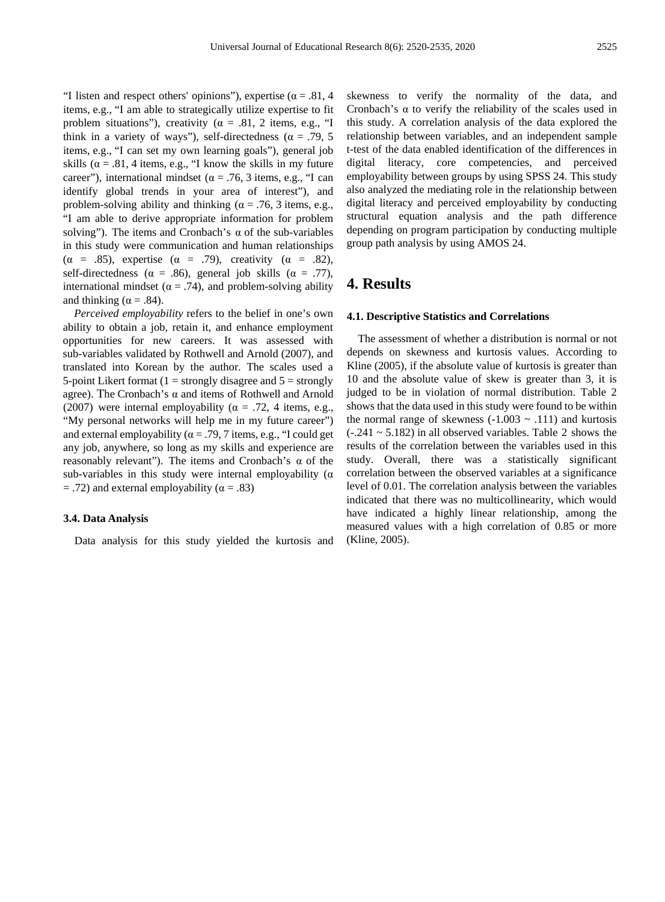"I listen and respect others' opinions"), expertise ( $\alpha = .81, 4$ items, e.g., "I am able to strategically utilize expertise to fit problem situations"), creativity ( $\alpha = .81, 2$  items, e.g., "I think in a variety of ways"), self-directedness ( $\alpha = .79, 5$ items, e.g., "I can set my own learning goals"), general job skills ( $\alpha = .81$ , 4 items, e.g., "I know the skills in my future career"), international mindset ( $\alpha$  = .76, 3 items, e.g., "I can identify global trends in your area of interest"), and problem-solving ability and thinking ( $\alpha$  = .76, 3 items, e.g., "I am able to derive appropriate information for problem solving"). The items and Cronbach's  $\alpha$  of the sub-variables in this study were communication and human relationships ( $\alpha$  = .85), expertise ( $\alpha$  = .79), creativity ( $\alpha$  = .82), self-directedness ( $\alpha = .86$ ), general job skills ( $\alpha = .77$ ), international mindset ( $\alpha = .74$ ), and problem-solving ability and thinking ( $\alpha = .84$ ).

*Perceived employability* refers to the belief in one's own ability to obtain a job, retain it, and enhance employment opportunities for new careers. It was assessed with sub-variables validated by Rothwell and Arnold (2007), and translated into Korean by the author. The scales used a 5-point Likert format  $(1 =$  strongly disagree and  $5 =$  strongly agree). The Cronbach's  $\alpha$  and items of Rothwell and Arnold (2007) were internal employability ( $\alpha = .72$ , 4 items, e.g., "My personal networks will help me in my future career") and external employability ( $\alpha = .79$ , 7 items, e.g., "I could get any job, anywhere, so long as my skills and experience are reasonably relevant"). The items and Cronbach's α of the sub-variables in this study were internal employability ( $\alpha$  $=$  .72) and external employability ( $\alpha = .83$ )

#### **3.4. Data Analysis**

Data analysis for this study yielded the kurtosis and

skewness to verify the normality of the data, and Cronbach's  $\alpha$  to verify the reliability of the scales used in this study. A correlation analysis of the data explored the relationship between variables, and an independent sample t-test of the data enabled identification of the differences in digital literacy, core competencies, and perceived employability between groups by using SPSS 24. This study also analyzed the mediating role in the relationship between digital literacy and perceived employability by conducting structural equation analysis and the path difference depending on program participation by conducting multiple group path analysis by using AMOS 24.

## **4. Results**

#### **4.1. Descriptive Statistics and Correlations**

The assessment of whether a distribution is normal or not depends on skewness and kurtosis values. According to Kline (2005), if the absolute value of kurtosis is greater than 10 and the absolute value of skew is greater than 3, it is judged to be in violation of normal distribution. Table 2 shows that the data used in this study were found to be within the normal range of skewness  $(-1.003 \sim .111)$  and kurtosis  $(-.241 \sim 5.182)$  in all observed variables. Table 2 shows the results of the correlation between the variables used in this study. Overall, there was a statistically significant correlation between the observed variables at a significance level of 0.01. The correlation analysis between the variables indicated that there was no multicollinearity, which would have indicated a highly linear relationship, among the measured values with a high correlation of 0.85 or more (Kline, 2005).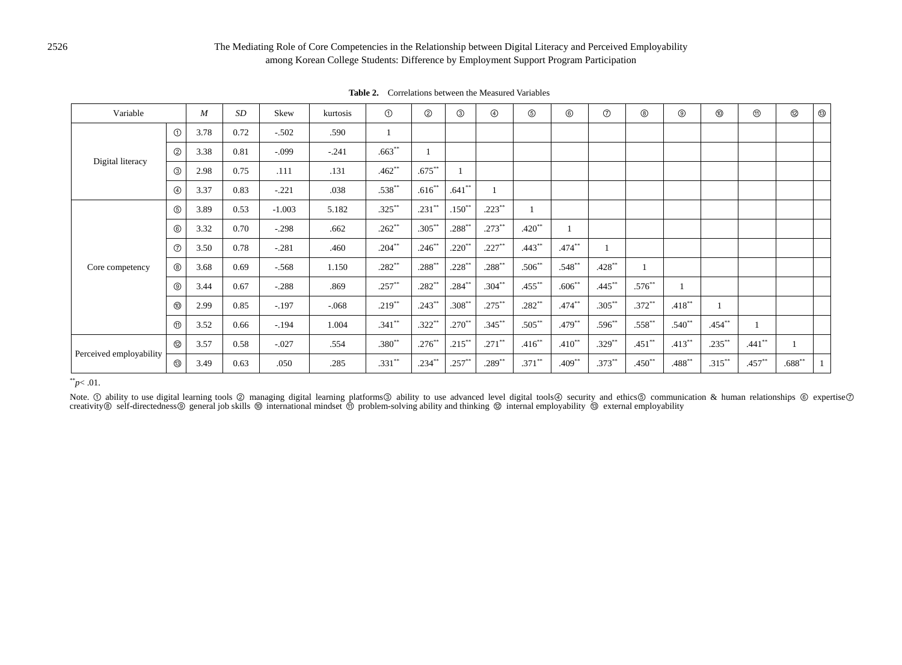## The Mediating Role of Core Competencies in the Relationship between Digital Literacy and Perceived Employability among Korean College Students: Difference by Employment Support Program Participation

| Variable                |                | $M_{\rm}$ | SD   | Skew     | kurtosis | $\odot$   | ②         | ③         | $^{\circledR}$ | $\circledS$ | $^{\circ}$ | $^{\circ}$ | $^\circledR$ | $^\circledR$ |           | $^{\circledR}$ | $^{\circledR}$ | $^\circledR$ |
|-------------------------|----------------|-----------|------|----------|----------|-----------|-----------|-----------|----------------|-------------|------------|------------|--------------|--------------|-----------|----------------|----------------|--------------|
|                         | $\odot$        | 3.78      | 0.72 | $-.502$  | .590     |           |           |           |                |             |            |            |              |              |           |                |                |              |
| Digital literacy        | $\circled{2}$  | 3.38      | 0.81 | $-.099$  | $-.241$  | $.663**$  |           |           |                |             |            |            |              |              |           |                |                |              |
|                         | $\circledcirc$ | 2.98      | 0.75 | .111     | .131     | $.462**$  | $.675***$ |           |                |             |            |            |              |              |           |                |                |              |
|                         | $\circledcirc$ | 3.37      | 0.83 | $-.221$  | .038     | $.538**$  | $.616**$  | $.641**$  |                |             |            |            |              |              |           |                |                |              |
|                         | $\circledS$    | 3.89      | 0.53 | $-1.003$ | 5.182    | $.325***$ | $.231***$ | $.150**$  | $.223**$       |             |            |            |              |              |           |                |                |              |
|                         | $^{\circ}$     | 3.32      | 0.70 | $-.298$  | .662     | $.262**$  | $.305***$ | $.288***$ | $.273***$      | $.420**$    |            |            |              |              |           |                |                |              |
|                         | $\circledcirc$ | 3.50      | 0.78 | $-.281$  | .460     | $.204***$ | $.246**$  | $.220**$  | $.227***$      | $.443**$    | $.474***$  |            |              |              |           |                |                |              |
| Core competency         | $^{\circledR}$ | 3.68      | 0.69 | $-.568$  | 1.150    | $.282**$  | $.288***$ | $.228***$ | $.288***$      | $.506**$    | $.548**$   | $.428***$  |              |              |           |                |                |              |
|                         | $^{\circledR}$ | 3.44      | 0.67 | $-.288$  | .869     | $.257**$  | $.282**$  | $.284***$ | $.304**$       | $.455***$   | $.606**$   | $.445***$  | $.576**$     |              |           |                |                |              |
|                         | ⑩              | 2.99      | 0.85 | $-197$   | $-.068$  | $.219***$ | $.243***$ | $.308**$  | $.275***$      | $.282**$    | $.474***$  | $.305***$  | $.372**$     | $.418***$    |           |                |                |              |
|                         | $^{\circledR}$ | 3.52      | 0.66 | $-.194$  | 1.004    | $.341**$  | $.322**$  | $.270**$  | $.345***$      | $.505***$   | $.479***$  | $.596**$   | $.558***$    | $.540**$     | $.454***$ |                |                |              |
|                         | $^{\circledR}$ | 3.57      | 0.58 | $-.027$  | .554     | $.380**$  | $.276***$ | $.215***$ | $.271***$      | $.416**$    | $.410**$   | $.329***$  | $.451***$    | $.413***$    | $.235***$ | $.441**$       |                |              |
| Perceived employability | $^\circledR$   | 3.49      | 0.63 | .050     | .285     | $.331**$  | $.234***$ | $.257***$ | $.289**$       | $.371***$   | $.409***$  | $.373**$   | $.450**$     | $.488***$    | $.315***$ | $.457***$      | $.688^{**}$    | $\mathbf{1}$ |

**Table 2.** Correlations between the Measured Variables

## \*\**p*< .01.

Note. ① ability to use digital learning tools ② managing digital learning platforms③ ability to use advanced level digital tools④ security and ethics⑤ communication & human relationships ⑥ expertise⑦<br>creativity⑧ self-direc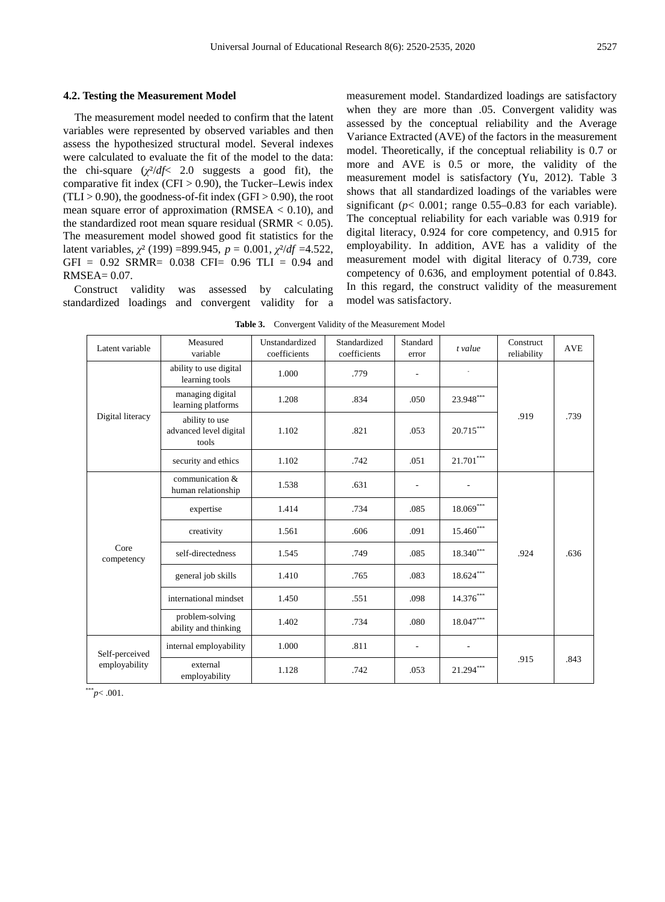#### **4.2. Testing the Measurement Model**

The measurement model needed to confirm that the latent variables were represented by observed variables and then assess the hypothesized structural model. Several indexes were calculated to evaluate the fit of the model to the data: the chi-square  $(\chi^2/df \leq 2.0$  suggests a good fit), the comparative fit index  $(CFI > 0.90)$ , the Tucker–Lewis index  $(TLI > 0.90)$ , the goodness-of-fit index  $(GFI > 0.90)$ , the root mean square error of approximation (RMSEA  $< 0.10$ ), and the standardized root mean square residual (SRMR  $< 0.05$ ). The measurement model showed good fit statistics for the latent variables, *χ*² (199) =899.945, *p* = 0.001, *χ*²/*df* =4.522, GFI = 0.92 SRMR= 0.038 CFI= 0.96 TLI = 0.94 and RMSEA= 0.07.

Construct validity was assessed by calculating standardized loadings and convergent validity for a measurement model. Standardized loadings are satisfactory when they are more than .05. Convergent validity was assessed by the conceptual reliability and the Average Variance Extracted (AVE) of the factors in the measurement model. Theoretically, if the conceptual reliability is 0.7 or more and AVE is 0.5 or more, the validity of the measurement model is satisfactory (Yu, 2012). Table 3 shows that all standardized loadings of the variables were significant ( $p < 0.001$ ; range 0.55–0.83 for each variable). The conceptual reliability for each variable was 0.919 for digital literacy, 0.924 for core competency, and 0.915 for employability. In addition, AVE has a validity of the measurement model with digital literacy of 0.739, core competency of 0.636, and employment potential of 0.843. In this regard, the construct validity of the measurement model was satisfactory.

| Table 3.<br>Convergent Validity of the Measurement Model |  |  |
|----------------------------------------------------------|--|--|
|----------------------------------------------------------|--|--|

| Latent variable                 | Measured<br>variable                              | Unstandardized<br>coefficients | Standardized<br>coefficients | Standard<br>error        | t value                 | Construct<br>reliability | <b>AVE</b> |
|---------------------------------|---------------------------------------------------|--------------------------------|------------------------------|--------------------------|-------------------------|--------------------------|------------|
|                                 | ability to use digital<br>learning tools          | 1.000                          | .779                         |                          |                         |                          |            |
| Digital literacy                | managing digital<br>learning platforms            | 1.208                          | .834                         | .050                     | $23.948^{\ast\ast\ast}$ |                          |            |
|                                 | ability to use<br>advanced level digital<br>tools | 1.102                          | .821                         | .053                     | $20.715^{\ast\ast\ast}$ | .919                     | .739       |
|                                 | security and ethics                               | 1.102                          | .742                         | .051                     | $21.701^{\ast\ast\ast}$ |                          |            |
|                                 | communication &<br>human relationship             | 1.538                          | .631                         | $\overline{\phantom{a}}$ |                         |                          |            |
|                                 | expertise                                         | 1.414                          | .734                         | .085                     | $18.069^{\ast\ast\ast}$ |                          |            |
|                                 | creativity                                        | 1.561                          | .606                         | .091                     | $15.460***$             |                          |            |
| Core<br>competency              | self-directedness                                 | 1.545                          | .749                         | .085                     | $18.340^{\ast\ast\ast}$ | .924                     | .636       |
|                                 | general job skills                                | 1.410                          | .765                         | .083                     | $18.624^{\ast\ast\ast}$ |                          |            |
|                                 | international mindset                             | 1.450                          | .551                         | .098                     | $14.376^{\ast\ast\ast}$ |                          |            |
|                                 | problem-solving<br>ability and thinking           | 1.402                          | .734                         | .080                     | $18.047^{\ast\ast\ast}$ |                          |            |
| Self-perceived<br>employability | internal employability                            | 1.000                          | .811                         |                          |                         |                          |            |
|                                 | external<br>employability                         | 1.128                          | .742                         | .053                     | $21.294***$             | .915                     | .843       |

\*\*\**p*< .001.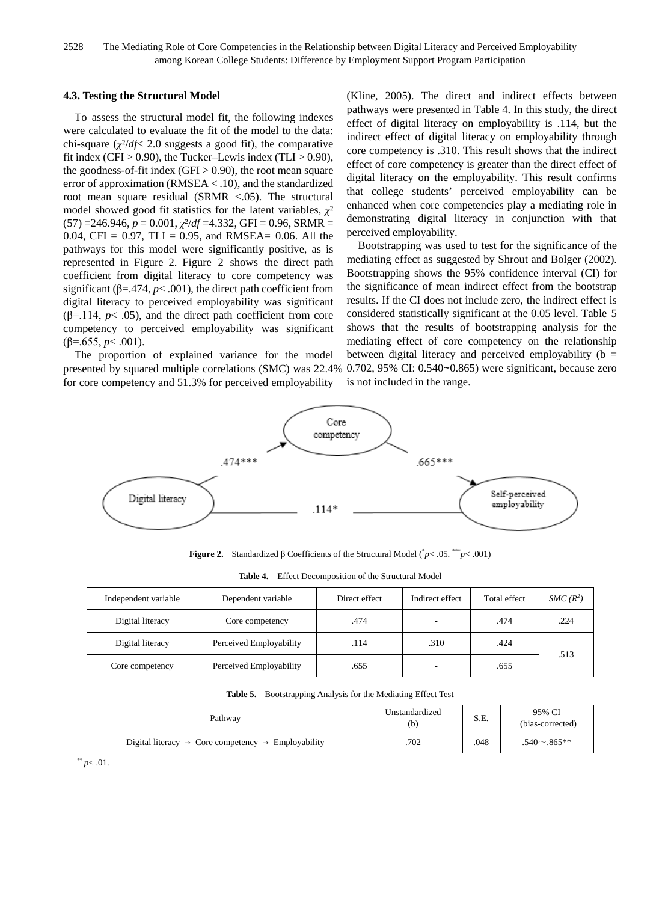2528 The Mediating Role of Core Competencies in the Relationship between Digital Literacy and Perceived Employability among Korean College Students: Difference by Employment Support Program Participation

#### **4.3. Testing the Structural Model**

To assess the structural model fit, the following indexes were calculated to evaluate the fit of the model to the data: chi-square (*χ*²/*df*< 2.0 suggests a good fit), the comparative fit index (CFI > 0.90), the Tucker–Lewis index (TLI > 0.90), the goodness-of-fit index  $(GFI > 0.90)$ , the root mean square error of approximation (RMSEA < .10), and the standardized root mean square residual (SRMR <.05). The structural model showed good fit statistics for the latent variables, *γ*<sup>2</sup>  $(57) = 246.946$ ,  $p = 0.001$ ,  $\chi^2/df = 4.332$ , GFI = 0.96, SRMR = 0.04, CFI = 0.97, TLI = 0.95, and RMSEA= 0.06. All the pathways for this model were significantly positive, as is represented in Figure 2. Figure 2 shows the direct path coefficient from digital literacy to core competency was significant ( $\beta$ =.474,  $p$ <.001), the direct path coefficient from digital literacy to perceived employability was significant ( $\beta$ =.114,  $p$ < .05), and the direct path coefficient from core competency to perceived employability was significant  $(\beta = .655, p < .001)$ .

The proportion of explained variance for the model presented by squared multiple correlations (SMC) was 22.4% for core competency and 51.3% for perceived employability

(Kline, 2005). The direct and indirect effects between pathways were presented in Table 4. In this study, the direct effect of digital literacy on employability is .114, but the indirect effect of digital literacy on employability through core competency is .310. This result shows that the indirect effect of core competency is greater than the direct effect of digital literacy on the employability. This result confirms that college students' perceived employability can be enhanced when core competencies play a mediating role in demonstrating digital literacy in conjunction with that perceived employability.

Bootstrapping was used to test for the significance of the mediating effect as suggested by Shrout and Bolger (2002). Bootstrapping shows the 95% confidence interval (CI) for the significance of mean indirect effect from the bootstrap results. If the CI does not include zero, the indirect effect is considered statistically significant at the 0.05 level. Table 5 shows that the results of bootstrapping analysis for the mediating effect of core competency on the relationship between digital literacy and perceived employability ( $b =$ 0.702, 95% CI: 0.540∼0.865) were significant, because zero is not included in the range.



**Figure 2.** Standardized β Coefficients of the Structural Model ( \* *p*< .05. \*\*\**p*< .001)

| Independent variable | Dependent variable      | Direct effect | Indirect effect          | Total effect | $SMC(R^2)$ |
|----------------------|-------------------------|---------------|--------------------------|--------------|------------|
| Digital literacy     | Core competency         | .474          | $\overline{\phantom{a}}$ | .474         | .224       |
| Digital literacy     | Perceived Employability | .114          | .310                     | .424         |            |
| Core competency      | Perceived Employability | .655          |                          | .655         | .513       |

**Table 4.** Effect Decomposition of the Structural Model

| Table 5. Bootstrapping Analysis for the Mediating Effect Test |  |
|---------------------------------------------------------------|--|
|---------------------------------------------------------------|--|

| Pathway                                                                    | Unstandardized<br>(b) | S.E. | 95% CI<br>(bias-corrected) |
|----------------------------------------------------------------------------|-----------------------|------|----------------------------|
| Digital literacy $\rightarrow$ Core competency $\rightarrow$ Employability | .702                  | .048 | $.540 \sim .865**$         |

 $*$  *p* < .01.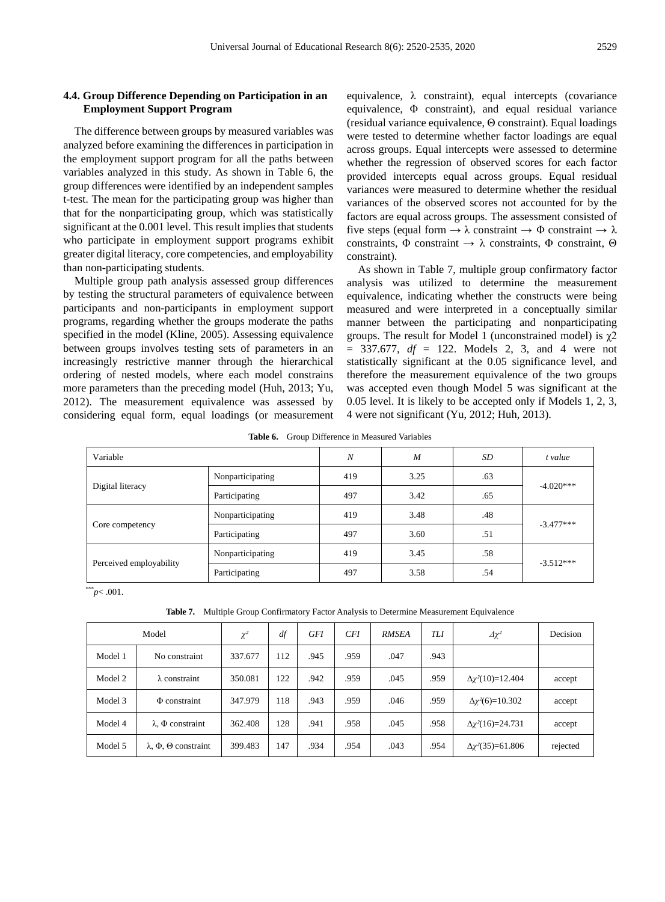#### **4.4. Group Difference Depending on Participation in an Employment Support Program**

The difference between groups by measured variables was analyzed before examining the differences in participation in the employment support program for all the paths between variables analyzed in this study. As shown in Table 6, the group differences were identified by an independent samples t-test. The mean for the participating group was higher than that for the nonparticipating group, which was statistically significant at the 0.001 level. This result implies that students who participate in employment support programs exhibit greater digital literacy, core competencies, and employability than non-participating students.

Multiple group path analysis assessed group differences by testing the structural parameters of equivalence between participants and non-participants in employment support programs, regarding whether the groups moderate the paths specified in the model (Kline, 2005). Assessing equivalence between groups involves testing sets of parameters in an increasingly restrictive manner through the hierarchical ordering of nested models, where each model constrains more parameters than the preceding model (Huh, 2013; Yu, 2012). The measurement equivalence was assessed by considering equal form, equal loadings (or measurement equivalence,  $\lambda$  constraint), equal intercepts (covariance equivalence, Φ constraint), and equal residual variance (residual variance equivalence, Θ constraint). Equal loadings were tested to determine whether factor loadings are equal across groups. Equal intercepts were assessed to determine whether the regression of observed scores for each factor provided intercepts equal across groups. Equal residual variances were measured to determine whether the residual variances of the observed scores not accounted for by the factors are equal across groups. The assessment consisted of five steps (equal form  $\rightarrow \lambda$  constraint  $\rightarrow \Phi$  constraint  $\rightarrow \lambda$ constraints,  $\Phi$  constraint  $\rightarrow \lambda$  constraints,  $\Phi$  constraint,  $\Theta$ constraint).

As shown in Table 7, multiple group confirmatory factor analysis was utilized to determine the measurement equivalence, indicating whether the constructs were being measured and were interpreted in a conceptually similar manner between the participating and nonparticipating groups. The result for Model 1 (unconstrained model) is  $\gamma$ 2 = 337.677, *df* = 122. Models 2, 3, and 4 were not statistically significant at the 0.05 significance level, and therefore the measurement equivalence of the two groups was accepted even though Model 5 was significant at the 0.05 level. It is likely to be accepted only if Models 1, 2, 3, 4 were not significant (Yu, 2012; Huh, 2013).

**Table 6.** Group Difference in Measured Variables

| Variable                |                  | N   | M    | SD  | t value     |  |
|-------------------------|------------------|-----|------|-----|-------------|--|
| Digital literacy        | Nonparticipating | 419 | 3.25 | .63 | $-4.020***$ |  |
|                         | Participating    | 497 | 3.42 | .65 |             |  |
| Core competency         | Nonparticipating | 419 | 3.48 | .48 | $-3.477***$ |  |
|                         | Participating    | 497 | 3.60 | .51 |             |  |
| Perceived employability | Nonparticipating | 419 | 3.45 | .58 | $-3.512***$ |  |
|                         | Participating    | 497 | 3.58 | .54 |             |  |

\*\*\**p*< .001.

**Table 7.** Multiple Group Confirmatory Factor Analysis to Determine Measurement Equivalence

|         | Model                                    | $\chi^2$ | df  | <b>GFI</b> | <b>CFI</b> | <b>RMSEA</b> | TLI  | $\Delta \chi^2$              | Decision |
|---------|------------------------------------------|----------|-----|------------|------------|--------------|------|------------------------------|----------|
| Model 1 | No constraint                            | 337.677  | 112 | .945       | .959       | .047         | .943 |                              |          |
| Model 2 | $\lambda$ constraint                     | 350.081  | 122 | .942       | .959       | .045         | .959 | $\Delta \chi^2(10) = 12.404$ | accept   |
| Model 3 | $\Phi$ constraint                        | 347.979  | 118 | .943       | .959       | .046         | .959 | $\Delta \chi^2(6)=10.302$    | accept   |
| Model 4 | $\lambda$ , $\Phi$ constraint            | 362.408  | 128 | .941       | .958       | .045         | .958 | $\Delta \chi^2(16) = 24.731$ | accept   |
| Model 5 | $\lambda$ , $\Phi$ , $\Theta$ constraint | 399.483  | 147 | .934       | .954       | .043         | .954 | $\Delta \chi^2(35)=61.806$   | rejected |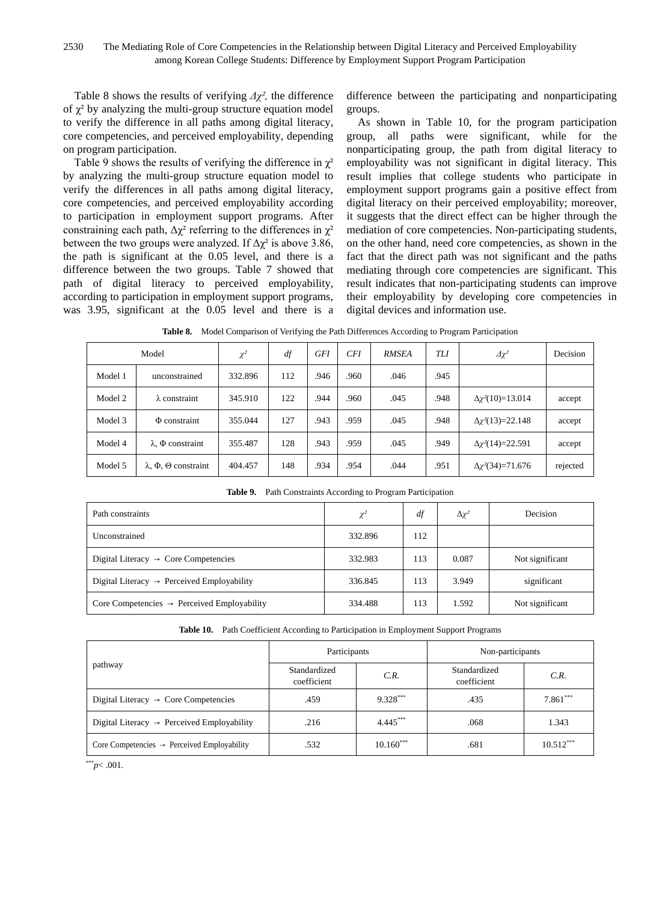Table 8 shows the results of verifying *Δχ²,* the difference of  $\chi^2$  by analyzing the multi-group structure equation model to verify the difference in all paths among digital literacy, core competencies, and perceived employability, depending on program participation.

Table 9 shows the results of verifying the difference in  $\chi^2$ by analyzing the multi-group structure equation model to verify the differences in all paths among digital literacy, core competencies, and perceived employability according to participation in employment support programs. After constraining each path,  $\Delta \chi^2$  referring to the differences in  $\chi^2$ between the two groups were analyzed. If  $\Delta \chi^2$  is above 3.86, the path is significant at the 0.05 level, and there is a difference between the two groups. Table 7 showed that path of digital literacy to perceived employability, according to participation in employment support programs, was 3.95, significant at the 0.05 level and there is a difference between the participating and nonparticipating groups.

As shown in Table 10, for the program participation group, all paths were significant, while for the nonparticipating group, the path from digital literacy to employability was not significant in digital literacy. This result implies that college students who participate in employment support programs gain a positive effect from digital literacy on their perceived employability; moreover, it suggests that the direct effect can be higher through the mediation of core competencies. Non-participating students, on the other hand, need core competencies, as shown in the fact that the direct path was not significant and the paths mediating through core competencies are significant. This result indicates that non-participating students can improve their employability by developing core competencies in digital devices and information use.

**Table 8.** Model Comparison of Verifying the Path Differences According to Program Participation

|         | Model                                    | $\chi^2$ | df  | <b>GFI</b> | <b>CFI</b> | <b>RMSEA</b> | TLI  | $\Delta \chi^2$              | Decision |
|---------|------------------------------------------|----------|-----|------------|------------|--------------|------|------------------------------|----------|
| Model 1 | unconstrained                            | 332.896  | 112 | .946       | .960       | .046         | .945 |                              |          |
| Model 2 | $\lambda$ constraint                     | 345.910  | 122 | .944       | .960       | .045         | .948 | $\Delta \chi^2(10) = 13.014$ | accept   |
| Model 3 | $\Phi$ constraint                        | 355.044  | 127 | .943       | .959       | .045         | .948 | $\Delta \chi^2(13)=22.148$   | accept   |
| Model 4 | $\lambda$ , $\Phi$ constraint            | 355.487  | 128 | .943       | .959       | .045         | .949 | $\Delta \chi^2(14)=22.591$   | accept   |
| Model 5 | $\lambda$ , $\Phi$ , $\Theta$ constraint | 404.457  | 148 | .934       | .954       | .044         | .951 | $\Delta \chi^2(34)=71.676$   | rejected |

| <b>Rapic 2.</b> Fain Constraints According to Frogram Family pation |          |     |                 |                 |  |  |  |  |  |
|---------------------------------------------------------------------|----------|-----|-----------------|-----------------|--|--|--|--|--|
| Path constraints                                                    | $\chi^2$ | df  | $\Delta \chi^2$ | Decision        |  |  |  |  |  |
| Unconstrained                                                       | 332.896  | 112 |                 |                 |  |  |  |  |  |
| Digital Literacy $\rightarrow$ Core Competencies                    | 332.983  | 113 | 0.087           | Not significant |  |  |  |  |  |
| Digital Literacy $\rightarrow$ Perceived Employability              | 336.845  | 113 | 3.949           | significant     |  |  |  |  |  |
| Core Competencies $\rightarrow$ Perceived Employability             | 334.488  | 113 | 1.592           | Not significant |  |  |  |  |  |

**Table 9.** Path Constraints According to Program Participation

|  | Table 10. Path Coefficient According to Participation in Employment Support Programs |  |  |  |  |  |
|--|--------------------------------------------------------------------------------------|--|--|--|--|--|
|--|--------------------------------------------------------------------------------------|--|--|--|--|--|

|                                                         | Participants                |             | Non-participants            |             |  |
|---------------------------------------------------------|-----------------------------|-------------|-----------------------------|-------------|--|
| pathway                                                 | Standardized<br>coefficient | C.R.        | Standardized<br>coefficient | C.R.        |  |
| Digital Literacy $\rightarrow$ Core Competencies        | .459                        | 9.328***    | .435                        | $7.861***$  |  |
| Digital Literacy $\rightarrow$ Perceived Employability  | .216                        | $4.445***$  | .068                        | 1.343       |  |
| Core Competencies $\rightarrow$ Perceived Employability | .532                        | $10.160***$ | .681                        | $10.512***$ |  |

 $*^{**}p<.001$ .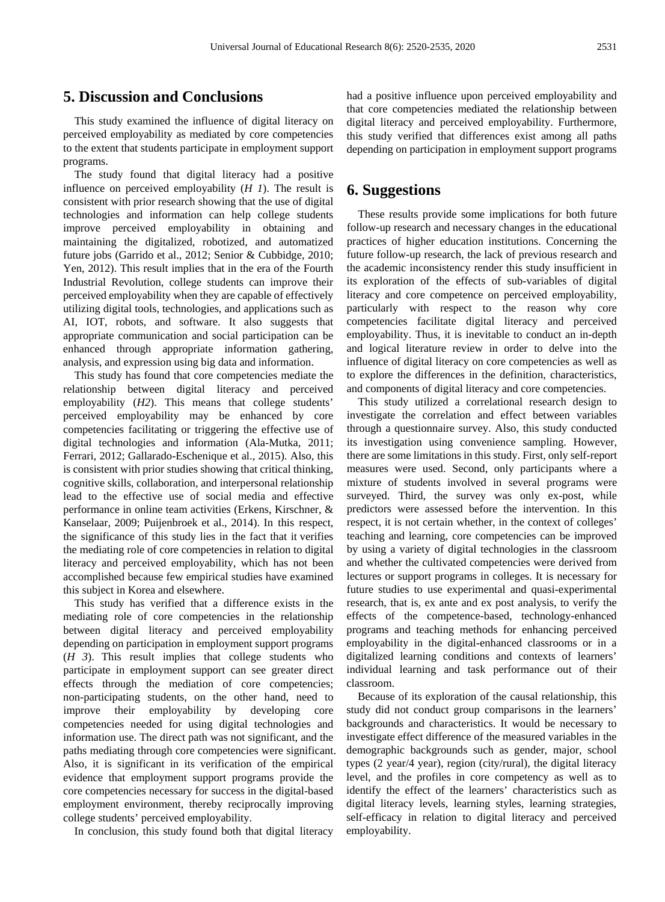## **5. Discussion and Conclusions**

This study examined the influence of digital literacy on perceived employability as mediated by core competencies to the extent that students participate in employment support programs.

The study found that digital literacy had a positive influence on perceived employability (*H 1*). The result is consistent with prior research showing that the use of digital technologies and information can help college students improve perceived employability in obtaining and maintaining the digitalized, robotized, and automatized future jobs (Garrido et al., 2012; Senior & Cubbidge, 2010; Yen, 2012). This result implies that in the era of the Fourth Industrial Revolution, college students can improve their perceived employability when they are capable of effectively utilizing digital tools, technologies, and applications such as AI, IOT, robots, and software. It also suggests that appropriate communication and social participation can be enhanced through appropriate information gathering, analysis, and expression using big data and information.

This study has found that core competencies mediate the relationship between digital literacy and perceived employability (*H2*). This means that college students' perceived employability may be enhanced by core competencies facilitating or triggering the effective use of digital technologies and information (Ala-Mutka, 2011; Ferrari, 2012; Gallarado-Eschenique et al., 2015). Also, this is consistent with prior studies showing that critical thinking, cognitive skills, collaboration, and interpersonal relationship lead to the effective use of social media and effective performance in online team activities (Erkens, Kirschner, & Kanselaar, 2009; Puijenbroek et al., 2014). In this respect, the significance of this study lies in the fact that it verifies the mediating role of core competencies in relation to digital literacy and perceived employability, which has not been accomplished because few empirical studies have examined this subject in Korea and elsewhere.

This study has verified that a difference exists in the mediating role of core competencies in the relationship between digital literacy and perceived employability depending on participation in employment support programs (*H 3*). This result implies that college students who participate in employment support can see greater direct effects through the mediation of core competencies; non-participating students, on the other hand, need to improve their employability by developing core competencies needed for using digital technologies and information use. The direct path was not significant, and the paths mediating through core competencies were significant. Also, it is significant in its verification of the empirical evidence that employment support programs provide the core competencies necessary for success in the digital-based employment environment, thereby reciprocally improving college students' perceived employability.

In conclusion, this study found both that digital literacy

had a positive influence upon perceived employability and that core competencies mediated the relationship between digital literacy and perceived employability. Furthermore, this study verified that differences exist among all paths depending on participation in employment support programs

## **6. Suggestions**

These results provide some implications for both future follow-up research and necessary changes in the educational practices of higher education institutions. Concerning the future follow-up research, the lack of previous research and the academic inconsistency render this study insufficient in its exploration of the effects of sub-variables of digital literacy and core competence on perceived employability, particularly with respect to the reason why core competencies facilitate digital literacy and perceived employability. Thus, it is inevitable to conduct an in-depth and logical literature review in order to delve into the influence of digital literacy on core competencies as well as to explore the differences in the definition, characteristics, and components of digital literacy and core competencies.

This study utilized a correlational research design to investigate the correlation and effect between variables through a questionnaire survey. Also, this study conducted its investigation using convenience sampling. However, there are some limitations in this study. First, only self-report measures were used. Second, only participants where a mixture of students involved in several programs were surveyed. Third, the survey was only ex-post, while predictors were assessed before the intervention. In this respect, it is not certain whether, in the context of colleges' teaching and learning, core competencies can be improved by using a variety of digital technologies in the classroom and whether the cultivated competencies were derived from lectures or support programs in colleges. It is necessary for future studies to use experimental and quasi-experimental research, that is, ex ante and ex post [analysis,](https://endic.naver.com/enkrEntry.nhn?entryId=e425d6e2aafe4c90804552f353cf39b0&query=%EC%82%AC%EC%A0%84-%EC%82%AC%ED%9B%84+%EA%B2%80%EC%82%AC) to verify the effects of the competence-based, technology-enhanced programs and teaching methods for enhancing perceived employability in the digital-enhanced classrooms or in a digitalized learning conditions and contexts of learners' individual learning and task performance out of their classroom.

Because of its exploration of the causal relationship, this study did not conduct group comparisons in the learners' backgrounds and characteristics. It would be necessary to investigate effect difference of the measured variables in the demographic backgrounds such as gender, major, school types (2 year/4 year), region (city/rural), the digital literacy level, and the profiles in core competency as well as to identify the effect of the learners' characteristics such as digital literacy levels, learning styles, learning strategies, self-efficacy in relation to digital literacy and perceived employability.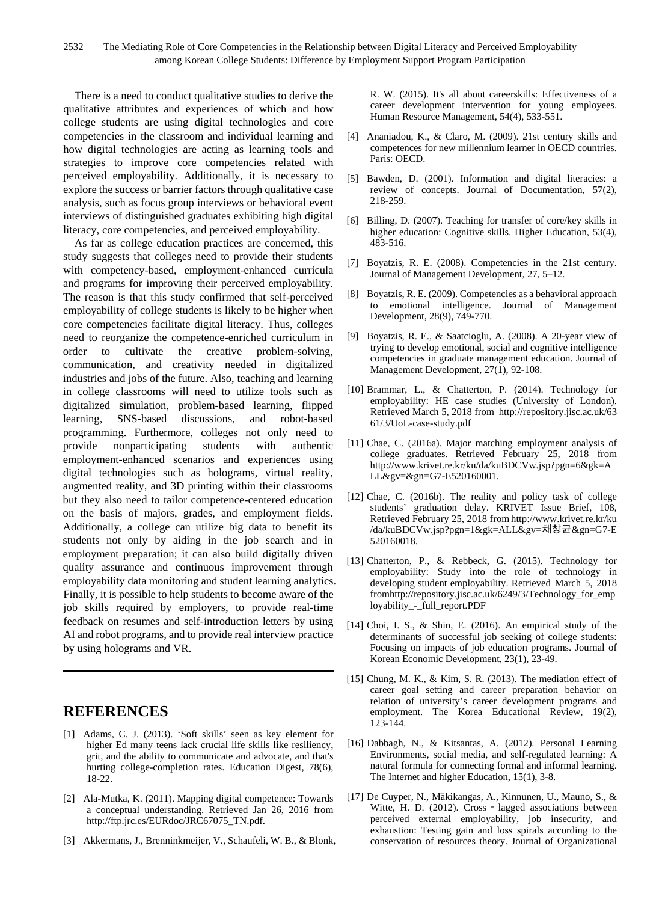There is a need to conduct qualitative studies to derive the qualitative attributes and experiences of which and how college students are using digital technologies and core competencies in the classroom and individual learning and how digital technologies are acting as learning tools and strategies to improve core competencies related with perceived employability. Additionally, it is necessary to explore the success or barrier factors through qualitative case analysis, such as focus group interviews or behavioral event interviews of distinguished graduates exhibiting high digital literacy, core competencies, and perceived employability.

As far as college education practices are concerned, this study suggests that colleges need to provide their students with competency-based, employment-enhanced curricula and programs for improving their perceived employability. The reason is that this study confirmed that self-perceived employability of college students is likely to be higher when core competencies facilitate digital literacy. Thus, colleges need to reorganize the competence-enriched curriculum in order to cultivate the creative problem-solving, communication, and creativity needed in digitalized industries and jobs of the future. Also, teaching and learning in college classrooms will need to utilize tools such as digitalized simulation, problem-based learning, flipped learning, SNS-based discussions, and robot-based programming. Furthermore, colleges not only need to provide nonparticipating students with authentic employment-enhanced scenarios and experiences using digital technologies such as holograms, virtual reality, augmented reality, and 3D printing within their classrooms but they also need to tailor competence-centered education on the basis of majors, grades, and employment fields. Additionally, a college can utilize big data to benefit its students not only by aiding in the job search and in employment preparation; it can also build digitally driven quality assurance and continuous improvement through employability data monitoring and student learning analytics. Finally, it is possible to help students to become aware of the job skills required by employers, to provide real-time feedback on resumes and self-introduction letters by using AI and robot programs, and to provide real interview practice by using holograms and VR.

# **REFERENCES**

- [1] Adams, C. J. (2013). 'Soft skills' seen as key element for higher Ed many teens lack crucial life skills like resiliency, grit, and the ability to communicate and advocate, and that's hurting college-completion rates. Education Digest, 78(6), 18-22.
- [2] Ala-Mutka, K. (2011). Mapping digital competence: Towards a conceptual understanding. Retrieved Jan 26, 2016 from http://ftp.jrc.es/EURdoc/JRC67075\_TN.pdf.
- [3] Akkermans, J., Brenninkmeijer, V., Schaufeli, W. B., & Blonk,

R. W. (2015). It's all about careerskills: Effectiveness of a career development intervention for young employees. Human Resource Management, 54(4), 533-551.

- [4] Ananiadou, K., & Claro, M. (2009). 21st century skills and competences for new millennium learner in OECD countries. Paris: OECD.
- [5] Bawden, D. (2001). Information and digital literacies: a review of concepts. Journal of Documentation, 57(2), 218-259.
- [6] Billing, D. (2007). Teaching for transfer of core/key skills in higher education: Cognitive skills. Higher Education, 53(4), 483-516.
- [7] Boyatzis, R. E. (2008). Competencies in the 21st century. Journal of Management Development, 27, 5–12.
- [8] Boyatzis, R. E. (2009). Competencies as a behavioral approach to emotional intelligence. Journal of Management Development, 28(9), 749-770.
- [9] Boyatzis, R. E., & Saatcioglu, A. (2008). A 20-year view of trying to develop emotional, social and cognitive intelligence competencies in graduate management education. Journal of Management Development, 27(1), 92-108.
- [10] Brammar, L., & Chatterton, P. (2014). Technology for employability: HE case studies (University of London). Retrieved March 5, 2018 from http://repository.jisc.ac.uk/63 61/3/UoL-case-study.pdf
- [11] Chae, C. (2016a). Major matching employment analysis of college graduates. Retrieved February 25, 2018 from http://www.krivet.re.kr/ku/da/kuBDCVw.jsp?pgn=6&gk=A LL&gv=&gn=G7-E520160001.
- [12] Chae, C. (2016b). The reality and policy task of college students' graduation delay. KRIVET Issue Brief, 108, Retrieved February 25, 2018 from http://www.krivet.re.kr/ku /da/kuBDCVw.jsp?pgn=1&gk=ALL&gv=채창균&gn=G7-E 520160018.
- [13] Chatterton, P., & Rebbeck, G. (2015). Technology for employability: Study into the role of technology in developing student employability. Retrieved March 5, 2018 fromhttp://repository.jisc.ac.uk/6249/3/Technology\_for\_emp loyability\_-\_full\_report.PDF
- [14] Choi, I. S., & Shin, E. (2016). An empirical study of the determinants of successful job seeking of college students: Focusing on impacts of job education programs. Journal of Korean Economic Development, 23(1), 23-49.
- [15] Chung, M. K., & Kim, S. R. (2013). The mediation effect of career goal setting and career preparation behavior on relation of university's career development programs and employment. The Korea Educational Review, 19(2), 123-144.
- [16] Dabbagh, N., & Kitsantas, A. (2012). Personal Learning Environments, social media, and self-regulated learning: A natural formula for connecting formal and informal learning. The Internet and higher Education, 15(1), 3-8.
- [17] De Cuyper, N., Mäkikangas, A., Kinnunen, U., Mauno, S., & Witte, H. D. (2012). Cross - lagged associations between perceived external employability, job insecurity, and exhaustion: Testing gain and loss spirals according to the conservation of resources theory. Journal of Organizational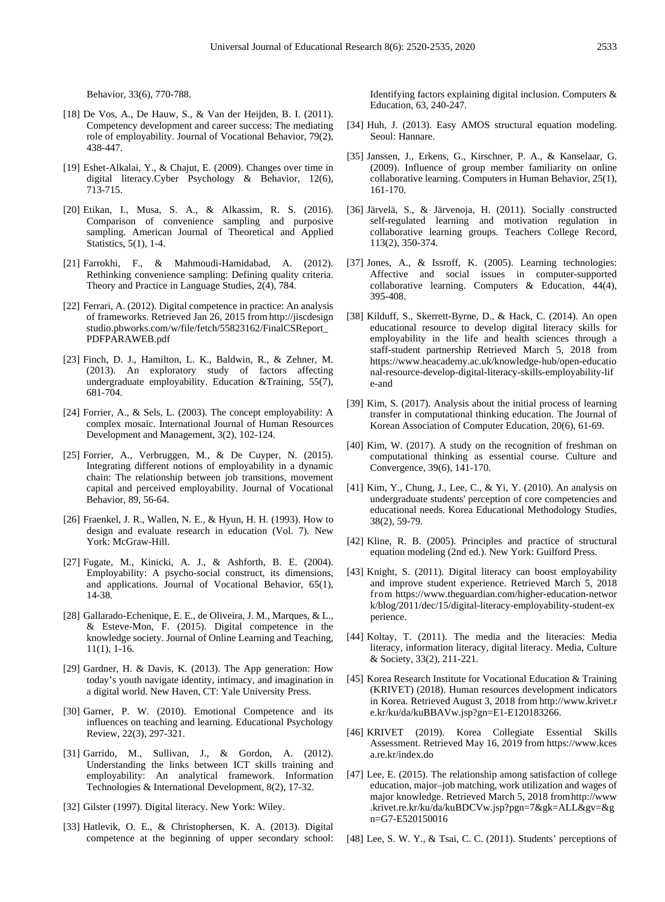Behavior, 33(6), 770-788.

- [18] De Vos, A., De Hauw, S., & Van der Heijden, B. I. (2011). Competency development and career success: The mediating role of employability. Journal of Vocational Behavior, 79(2), 438-447.
- [19] Eshet-Alkalai, Y., & Chajut, E. (2009). Changes over time in digital literacy.Cyber Psychology & Behavior, 12(6), 713-715.
- [20] Etikan, I., Musa, S. A., & Alkassim, R. S. (2016). Comparison of convenience sampling and purposive sampling. American Journal of Theoretical and Applied Statistics, 5(1), 1-4.
- [21] Farrokhi, F., & Mahmoudi-Hamidabad, A. (2012). Rethinking convenience sampling: Defining quality criteria. Theory and Practice in Language Studies, 2(4), 784.
- [22] Ferrari, A. (2012). Digital competence in practice: An analysis of frameworks. Retrieved Jan 26, 2015 from http://jiscdesign studio.pbworks.com/w/file/fetch/55823162/FinalCSReport\_ PDFPARAWEB.pdf
- [23] Finch, D. J., Hamilton, L. K., Baldwin, R., & Zehner, M. (2013). An exploratory study of factors affecting undergraduate employability. Education &Training, 55(7), 681-704.
- [24] Forrier, A., & Sels, L. (2003). The concept employability: A complex mosaic. International Journal of Human Resources Development and Management, 3(2), 102-124.
- [25] Forrier, A., Verbruggen, M., & De Cuyper, N. (2015). Integrating different notions of employability in a dynamic chain: The relationship between job transitions, movement capital and perceived employability. Journal of Vocational Behavior, 89, 56-64.
- [26] Fraenkel, J. R., Wallen, N. E., & Hyun, H. H. (1993). How to design and evaluate research in education (Vol. 7). New York: McGraw-Hill.
- [27] Fugate, M., Kinicki, A. J., & Ashforth, B. E. (2004). Employability: A psycho-social construct, its dimensions, and applications. Journal of Vocational Behavior, 65(1), 14-38.
- [28] Gallarado-Echenique, E. E., de Oliveira, J. M., Marques, & L., & Esteve-Mon, F. (2015). Digital competence in the knowledge society. Journal of Online Learning and Teaching, 11(1), 1-16.
- [29] Gardner, H. & Davis, K. (2013). The App generation: How today's youth navigate identity, intimacy, and imagination in a digital world. New Haven, CT: Yale University Press.
- [30] Garner, P. W. (2010). Emotional Competence and its influences on teaching and learning. Educational Psychology Review, 22(3), 297-321.
- [31] Garrido, M., Sullivan, J., & Gordon, A. (2012). Understanding the links between ICT skills training and employability: An analytical framework. Information Technologies & International Development, 8(2), 17-32.
- [32] Gilster (1997). Digital literacy. New York: Wiley.
- [33] Hatlevik, O. E., & Christophersen, K. A. (2013). Digital competence at the beginning of upper secondary school:

Identifying factors explaining digital inclusion. Computers & Education, 63, 240-247.

- [34] Huh, J. (2013). Easy AMOS structural equation modeling. Seoul: Hannare.
- [35] Janssen, J., Erkens, G., Kirschner, P. A., & Kanselaar, G. (2009). Influence of group member familiarity on online collaborative learning. Computers in Human Behavior, 25(1), 161-170.
- [36] Järvelä, S., & Järvenoja, H. (2011). Socially constructed self-regulated learning and motivation regulation in collaborative learning groups. Teachers College Record, 113(2), 350-374.
- [37] Jones, A., & Issroff, K. (2005). Learning technologies: Affective and social issues in computer-supported collaborative learning. Computers & Education, 44(4), 395-408.
- [38] Kilduff, S., Skerrett-Byrne, D., & Hack, C. (2014). An open educational resource to develop digital literacy skills for employability in the life and health sciences through a staff-student partnership Retrieved March 5, 2018 from https://www.heacademy.ac.uk/knowledge-hub/open-educatio nal-resource-develop-digital-literacy-skills-employability-lif e-and
- [39] Kim, S. (2017). Analysis about the initial process of learning transfer in computational thinking education. The Journal of Korean Association of Computer Education, 20(6), 61-69.
- [40] Kim, W. (2017). A study on the recognition of freshman on computational thinking as essential course. Culture and Convergence, 39(6), 141-170.
- [41] Kim, Y., Chung, J., Lee, C., & Yi, Y. (2010). An analysis on undergraduate students' perception of core competencies and educational needs. Korea Educational Methodology Studies, 38(2), 59-79.
- [42] Kline, R. B. (2005). Principles and practice of structural equation modeling (2nd ed.). New York: Guilford Press.
- [43] Knight, S. (2011). Digital literacy can boost employability and improve student experience. Retrieved March 5, 2018 from https://www.theguardian.com/higher-education-networ k/blog/2011/dec/15/digital-literacy-employability-student-ex perience.
- [44] Koltay, T. (2011). The media and the literacies: Media literacy, information literacy, digital literacy. Media, Culture & Society, 33(2), 211-221.
- [45] Korea Research Institute for Vocational Education & Training (KRIVET) (2018). Human resources development indicators in Korea. Retrieved August 3, 2018 from http://www.krivet.r e.kr/ku/da/kuBBAVw.jsp?gn=E1-E120183266.
- [46] KRIVET (2019). Korea Collegiate Essential Skills Assessment. Retrieved May 16, 2019 from https://www.kces a.re.kr/index.do
- [47] Lee, E. (2015). The relationship among satisfaction of college education, major–job matching, work utilization and wages of major knowledge. Retrieved March 5, 2018 fromhttp://www .krivet.re.kr/ku/da/kuBDCVw.jsp?pgn=7&gk=ALL&gv=&g n=G7-E520150016
- [48] Lee, S. W. Y., & Tsai, C. C. (2011). Students' perceptions of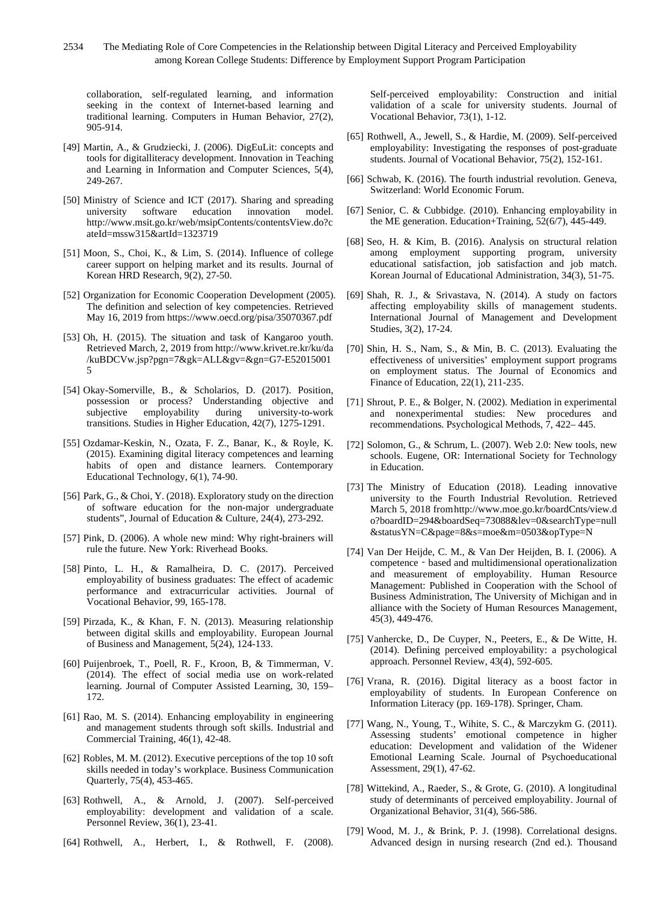2534 The Mediating Role of Core Competencies in the Relationship between Digital Literacy and Perceived Employability among Korean College Students: Difference by Employment Support Program Participation

collaboration, self-regulated learning, and information seeking in the context of Internet-based learning and traditional learning. Computers in Human Behavior, 27(2), 905-914.

- [49] Martin, A., & Grudziecki, J. (2006). DigEuLit: concepts and tools for digitalliteracy development. Innovation in Teaching and Learning in Information and Computer Sciences, 5(4), 249-267.
- [50] Ministry of Science and ICT (2017). Sharing and spreading software education http://www.msit.go.kr/web/msipContents/contentsView.do?c ateId=mssw315&artId=1323719
- [51] Moon, S., Choi, K., & Lim, S. (2014). Influence of college career support on helping market and its results. Journal of Korean HRD Research, 9(2), 27-50.
- [52] Organization for Economic Cooperation Development (2005). The definition and selection of key competencies. Retrieved May 16, 2019 from https://www.oecd.org/pisa/35070367.pdf
- [53] Oh, H. (2015). The situation and task of Kangaroo youth. Retrieved March, 2, 2019 from http://www.krivet.re.kr/ku/da /kuBDCVw.jsp?pgn=7&gk=ALL&gv=&gn=G7-E52015001 5
- [54] Okay-Somerville, B., & Scholarios, D. (2017). Position, possession or process? Understanding objective and<br>subjective employability during university-to-work university-to-work transitions. Studies in Higher Education, 42(7), 1275-1291.
- [55] Ozdamar-Keskin, N., Ozata, F. Z., Banar, K., & Royle, K. (2015). Examining digital literacy competences and learning habits of open and distance learners. Contemporary Educational Technology, 6(1), 74-90.
- [56] Park, G., & Choi, Y. (2018). Exploratory study on the direction of software education for the non-major undergraduate students", Journal of Education & Culture, 24(4), 273-292.
- [57] Pink, D. (2006). A whole new mind: Why right-brainers will rule the future. New York: Riverhead Books.
- [58] Pinto, L. H., & Ramalheira, D. C. (2017). Perceived employability of business graduates: The effect of academic performance and extracurricular activities. Journal of Vocational Behavior, 99, 165-178.
- [59] Pirzada, K., & Khan, F. N. (2013). Measuring relationship between digital skills and employability. European Journal of Business and Management, 5(24), 124-133.
- [60] Puijenbroek, T., Poell, R. F., Kroon, B, & Timmerman, V. (2014). The effect of social media use on work-related learning. Journal of Computer Assisted Learning, 30, 159– 172.
- [61] Rao, M. S. (2014). Enhancing employability in engineering and management students through soft skills. Industrial and Commercial Training, 46(1), 42-48.
- [62] Robles, M. M. (2012). Executive perceptions of the top 10 soft skills needed in today's workplace. Business Communication Quarterly, 75(4), 453-465.
- [63] Rothwell, A., & Arnold, J. (2007). Self-perceived employability: development and validation of a scale. Personnel Review, 36(1), 23-41.
- [64] Rothwell, A., Herbert, I., & Rothwell, F. (2008).

Self-perceived employability: Construction and initial validation of a scale for university students. Journal of Vocational Behavior, 73(1), 1-12.

- [65] Rothwell, A., Jewell, S., & Hardie, M. (2009). Self-perceived employability: Investigating the responses of post-graduate students. Journal of Vocational Behavior, 75(2), 152-161.
- [66] Schwab, K. (2016). The fourth industrial revolution. Geneva, Switzerland: World Economic Forum.
- [67] Senior, C. & Cubbidge. (2010). Enhancing employability in the ME generation. Education+Training, 52(6/7), 445-449.
- [68] Seo, H. & Kim, B. (2016). Analysis on structural relation among employment supporting program, university educational satisfaction, job satisfaction and job match. Korean Journal of Educational Administration, 34(3), 51-75.
- [69] Shah, R. J., & Srivastava, N. (2014). A study on factors affecting employability skills of management students. International Journal of Management and Development Studies, 3(2), 17-24.
- [70] Shin, H. S., Nam, S., & Min, B. C. (2013). Evaluating the effectiveness of universities' employment support programs on employment status. The Journal of Economics and Finance of Education, 22(1), 211-235.
- [71] Shrout, P. E., & Bolger, N. (2002). Mediation in experimental and nonexperimental studies: New procedures and recommendations. Psychological Methods,  $7,422-445$ .
- [72] Solomon, G., & Schrum, L. (2007). Web 2.0: New tools, new schools. Eugene, OR: International Society for Technology in Education.
- [73] The Ministry of Education (2018). Leading innovative university to the Fourth Industrial Revolution. Retrieved March 5, 2018 fromhttp://www.moe.go.kr/boardCnts/view.d o?boardID=294&boardSeq=73088&lev=0&searchType=null &statusYN=C&page=8&s=moe&m=0503&opType=N
- [74] Van Der Heijde, C. M., & Van Der Heijden, B. I. (2006). A competence - based and multidimensional operationalization and measurement of employability. Human Resource Management: Published in Cooperation with the School of Business Administration, The University of Michigan and in alliance with the Society of Human Resources Management, 45(3), 449-476.
- [75] Vanhercke, D., De Cuyper, N., Peeters, E., & De Witte, H. (2014). Defining perceived employability: a psychological approach. Personnel Review, 43(4), 592-605.
- [76] Vrana, R. (2016). Digital literacy as a boost factor in employability of students. In European Conference on Information Literacy (pp. 169-178). Springer, Cham.
- [77] Wang, N., Young, T., Wihite, S. C., & Marczykm G. (2011). Assessing students' emotional competence in higher education: Development and validation of the Widener Emotional Learning Scale. Journal of Psychoeducational Assessment, 29(1), 47-62.
- [78] Wittekind, A., Raeder, S., & Grote, G. (2010). A longitudinal study of determinants of perceived employability. Journal of Organizational Behavior, 31(4), 566-586.
- [79] Wood, M. J., & Brink, P. J. (1998). Correlational designs. Advanced design in nursing research (2nd ed.). Thousand